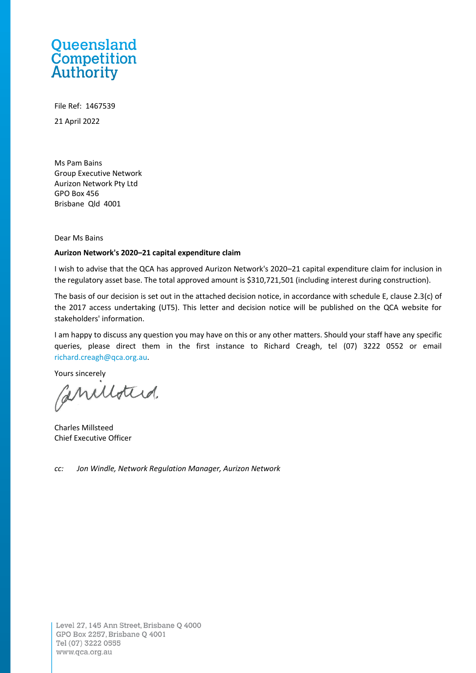# Queensland **Competition**<br>Authority

File Ref: 1467539 21 April 2022

Ms Pam Bains Group Executive Network Aurizon Network Pty Ltd GPO Box 456 Brisbane Qld 4001

Dear Ms Bains

#### **Aurizon Network's 2020–21 capital expenditure claim**

I wish to advise that the QCA has approved Aurizon Network's 2020–21 capital expenditure claim for inclusion in the regulatory asset base. The total approved amount is \$310,721,501 (including interest during construction).

The basis of our decision is set out in the attached decision notice, in accordance with schedule E, clause 2.3(c) of the 2017 access undertaking (UT5). This letter and decision notice will be published on the QCA website for stakeholders' information.

I am happy to discuss any question you may have on this or any other matters. Should your staff have any specific queries, please direct them in the first instance to Richard Creagh, tel (07) 3222 0552 or email [richard.creagh@qca.org.au.](mailto:richard.creagh@qca.org.au)

Yours sincerely

Caniloted.

Charles Millsteed Chief Executive Officer

*cc: Jon Windle, Network Regulation Manager, Aurizon Network*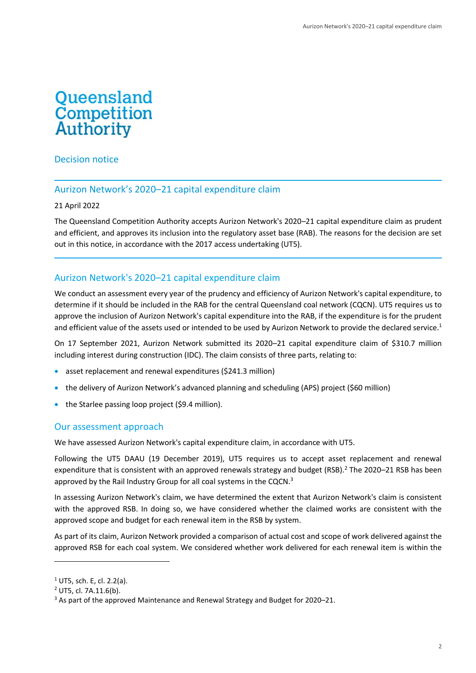# **Queensland**<br>Competition **Authority**

Decision notice

# Aurizon Network's 2020–21 capital expenditure claim

21 April 2022

The Queensland Competition Authority accepts Aurizon Network's 2020–21 capital expenditure claim as prudent and efficient, and approves its inclusion into the regulatory asset base (RAB). The reasons for the decision are set out in this notice, in accordance with the 2017 access undertaking (UT5).

# Aurizon Network's 2020–21 capital expenditure claim

We conduct an assessment every year of the prudency and efficiency of Aurizon Network's capital expenditure, to determine if it should be included in the RAB for the central Queensland coal network (CQCN). UT5 requires us to approve the inclusion of Aurizon Network's capital expenditure into the RAB, if the expenditure is for the prudent and efficient value of the assets used or intended to be used by Aurizon Network to provide the declared service.<sup>1</sup>

On 17 September 2021, Aurizon Network submitted its 2020–21 capital expenditure claim of \$310.7 million including interest during construction (IDC). The claim consists of three parts, relating to:

- asset replacement and renewal expenditures (\$241.3 million)
- the delivery of Aurizon Network's advanced planning and scheduling (APS) project (\$60 million)
- the Starlee passing loop project (\$9.4 million).

## Our assessment approach

We have assessed Aurizon Network's capital expenditure claim, in accordance with UT5.

Following the UT5 DAAU (19 December 2019), UT5 requires us to accept asset replacement and renewal expenditure that is consistent with an approved renewals strategy and budget (RSB).<sup>2</sup> The 2020–21 RSB has been approved by the Rail Industry Group for all coal systems in the CQCN.<sup>3</sup>

In assessing Aurizon Network's claim, we have determined the extent that Aurizon Network's claim is consistent with the approved RSB. In doing so, we have considered whether the claimed works are consistent with the approved scope and budget for each renewal item in the RSB by system.

As part of its claim, Aurizon Network provided a comparison of actual cost and scope of work delivered against the approved RSB for each coal system. We considered whether work delivered for each renewal item is within the

<sup>1</sup> UT5, sch. E, cl. 2.2(a).

<sup>2</sup> UT5, cl. 7A.11.6(b).

<sup>&</sup>lt;sup>3</sup> As part of the approved Maintenance and Renewal Strategy and Budget for 2020-21.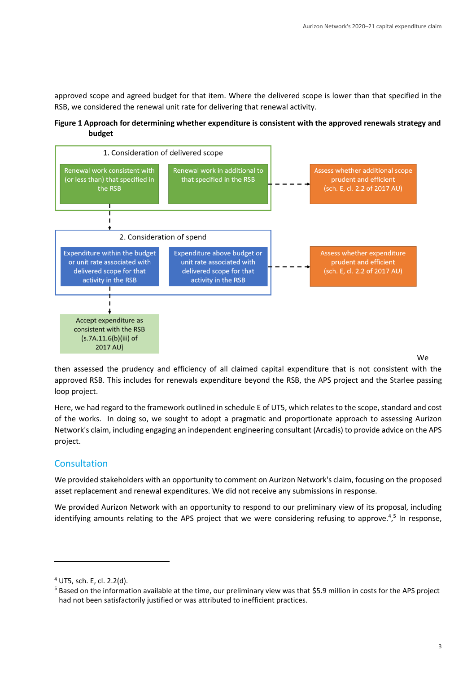approved scope and agreed budget for that item. Where the delivered scope is lower than that specified in the RSB, we considered the renewal unit rate for delivering that renewal activity.

**Figure 1 Approach for determining whether expenditure is consistent with the approved renewals strategy and budget** 



then assessed the prudency and efficiency of all claimed capital expenditure that is not consistent with the approved RSB. This includes for renewals expenditure beyond the RSB, the APS project and the Starlee passing loop project.

Here, we had regard to the framework outlined in schedule E of UT5, which relates to the scope, standard and cost of the works. In doing so, we sought to adopt a pragmatic and proportionate approach to assessing Aurizon Network's claim, including engaging an independent engineering consultant (Arcadis) to provide advice on the APS project.

## **Consultation**

We provided stakeholders with an opportunity to comment on Aurizon Network's claim, focusing on the proposed asset replacement and renewal expenditures. We did not receive any submissions in response.

We provided Aurizon Network with an opportunity to respond to our preliminary view of its proposal, including identifying amounts relating to the APS project that we were considering refusing to approve.<sup>4,5</sup> In response,

<sup>4</sup> UT5, sch. E, cl. 2.2(d).

 $5$  Based on the information available at the time, our preliminary view was that \$5.9 million in costs for the APS project had not been satisfactorily justified or was attributed to inefficient practices.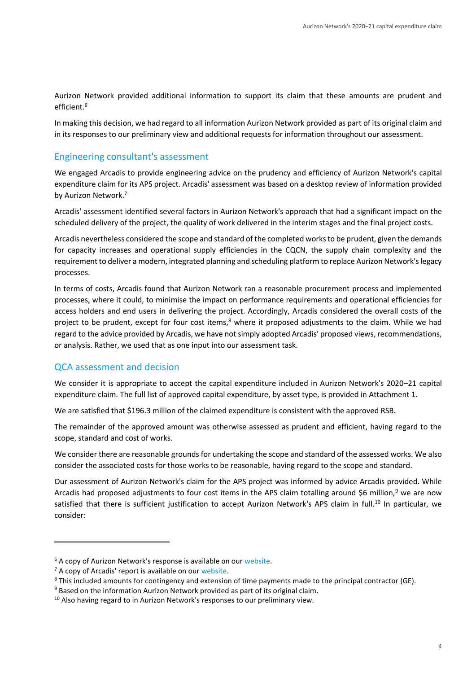Aurizon Network provided additional information to support its claim that these amounts are prudent and efficient.<sup>6</sup>

In making this decision, we had regard to all information Aurizon Network provided as part of its original claim and in its responses to our preliminary view and additional requests for information throughout our assessment.

#### Engineering consultant's assessment

We engaged Arcadis to provide engineering advice on the prudency and efficiency of Aurizon Network's capital expenditure claim for its APS project. Arcadis' assessment was based on a desktop review of information provided by Aurizon Network.<sup>7</sup>

Arcadis' assessment identified several factors in Aurizon Network's approach that had a significant impact on the scheduled delivery of the project, the quality of work delivered in the interim stages and the final project costs.

Arcadis nevertheless considered the scope and standard of the completed works to be prudent, given the demands for capacity increases and operational supply efficiencies in the CQCN, the supply chain complexity and the requirement to deliver a modern, integrated planning and scheduling platform to replace Aurizon Network's legacy processes.

In terms of costs, Arcadis found that Aurizon Network ran a reasonable procurement process and implemented processes, where it could, to minimise the impact on performance requirements and operational efficiencies for access holders and end users in delivering the project. Accordingly, Arcadis considered the overall costs of the project to be prudent, except for four cost items,<sup>8</sup> where it proposed adjustments to the claim. While we had regard to the advice provided by Arcadis, we have not simply adopted Arcadis' proposed views, recommendations, or analysis. Rather, we used that as one input into our assessment task.

#### QCA assessment and decision

We consider it is appropriate to accept the capital expenditure included in Aurizon Network's 2020–21 capital expenditure claim. The full list of approved capital expenditure, by asset type, is provided in Attachment 1.

We are satisfied that \$196.3 million of the claimed expenditure is consistent with the approved RSB.

The remainder of the approved amount was otherwise assessed as prudent and efficient, having regard to the scope, standard and cost of works.

We consider there are reasonable grounds for undertaking the scope and standard of the assessed works. We also consider the associated costs for those works to be reasonable, having regard to the scope and standard.

Our assessment of Aurizon Network's claim for the APS project was informed by advice Arcadis provided. While Arcadis had proposed adjustments to four cost items in the APS claim totalling around \$6 million,<sup>9</sup> we are now satisfied that there is sufficient justification to accept Aurizon Network's APS claim in full.<sup>10</sup> In particular, we consider:

<sup>&</sup>lt;sup>6</sup> A copy of Aurizon Network's response is available on our [website.](https://www.qca.org.au/project/aurizon-network/2017-access-undertaking-ut5/capital-expenditure-claim/)

 $<sup>7</sup>$  A copy of Arcadis' report is available on our [website.](https://www.qca.org.au/project/aurizon-network/2017-access-undertaking-ut5/capital-expenditure-claim/)</sup>

<sup>8</sup> This included amounts for contingency and extension of time payments made to the principal contractor (GE).

 $9$  Based on the information Aurizon Network provided as part of its original claim.

<sup>&</sup>lt;sup>10</sup> Also having regard to in Aurizon Network's responses to our preliminary view.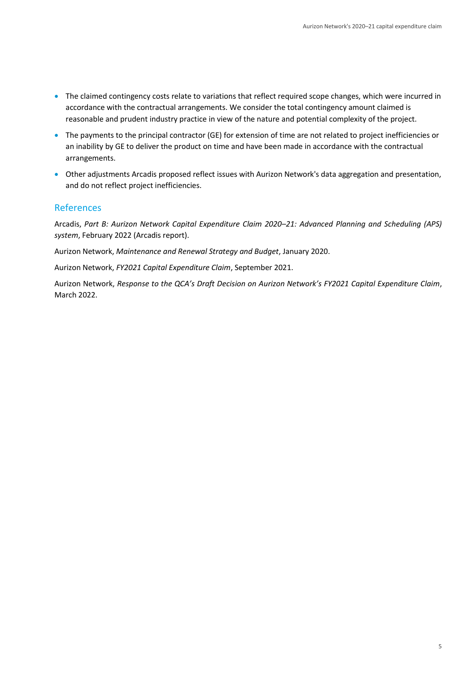- The claimed contingency costs relate to variations that reflect required scope changes, which were incurred in accordance with the contractual arrangements. We consider the total contingency amount claimed is reasonable and prudent industry practice in view of the nature and potential complexity of the project.
- The payments to the principal contractor (GE) for extension of time are not related to project inefficiencies or an inability by GE to deliver the product on time and have been made in accordance with the contractual arrangements.
- Other adjustments Arcadis proposed reflect issues with Aurizon Network's data aggregation and presentation, and do not reflect project inefficiencies.

## References

Arcadis, *Part B: Aurizon Network Capital Expenditure Claim 2020–21: Advanced Planning and Scheduling (APS) system*, February 2022 (Arcadis report).

Aurizon Network, *Maintenance and Renewal Strategy and Budget*, January 2020.

Aurizon Network, *FY2021 Capital Expenditure Claim*, September 2021.

Aurizon Network, *Response to the QCA's Draft Decision on Aurizon Network's FY2021 Capital Expenditure Claim*, March 2022.